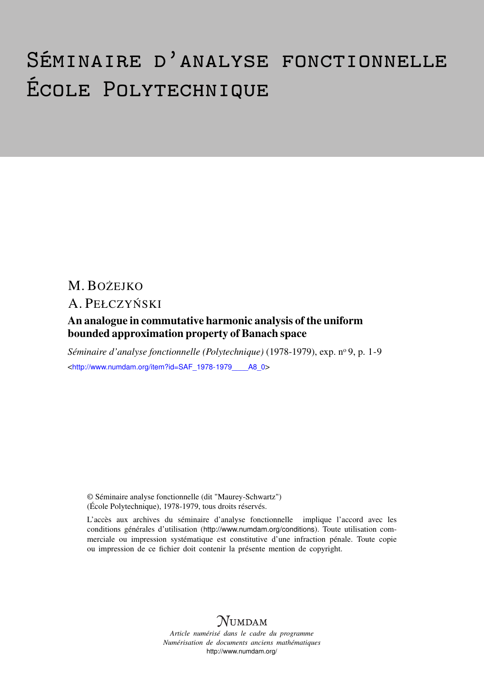# Séminaire d'analyse fonctionnelle École Polytechnique

## M. BOŻEJKO

A. PEŁCZYŃSKI

### An analogue in commutative harmonic analysis of the uniform bounded approximation property of Banach space

*Séminaire d'analyse fonctionnelle (Polytechnique)* (1978-1979), exp. n<sup>o</sup> 9, p. 1-9 <[http://www.numdam.org/item?id=SAF\\_1978-1979\\_\\_\\_\\_A8\\_0](http://www.numdam.org/item?id=SAF_1978-1979____A8_0)>

© Séminaire analyse fonctionnelle (dit "Maurey-Schwartz") (École Polytechnique), 1978-1979, tous droits réservés.

L'accès aux archives du séminaire d'analyse fonctionnelle implique l'accord avec les conditions générales d'utilisation (<http://www.numdam.org/conditions>). Toute utilisation commerciale ou impression systématique est constitutive d'une infraction pénale. Toute copie ou impression de ce fichier doit contenir la présente mention de copyright.



*Article numérisé dans le cadre du programme Numérisation de documents anciens mathématiques* <http://www.numdam.org/>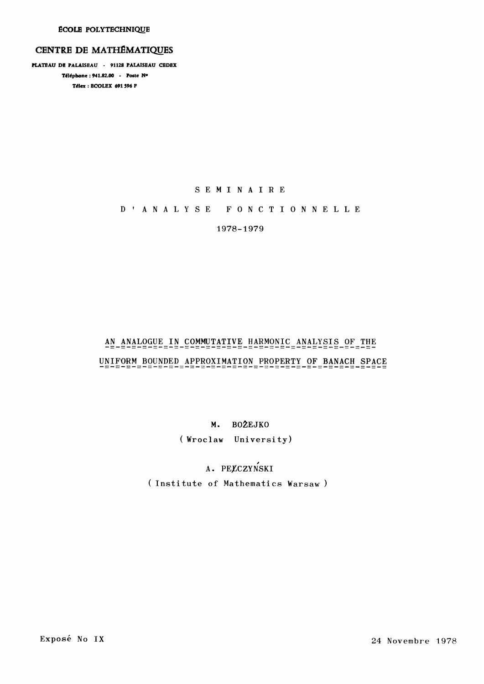#### ÉCOLE POLYTECHNIQUE

#### CENTRE DE MATHÉMATIQUES

PLATEAU DB PALAISEAU - 91128 PALAISEAU CEDEX Téléphone : 941.82.00 - Poste N° Télex : ECOLEX 691 596 P

#### SEMINAIRE

#### D'ANALYSE F 0 N C T 1 0 N N E L L E

#### 1978-1979

# AN ANALOGUE IN COMMUTATIVE HARMONIC ANALYSIS OF THE UNIFORM BOUNDED APPROXIMATION PROPERTY OF BANACH SPACE

M. BOZEJKO (Wroclaw University)

A. PELCZYŃSKI (Institute of Mathematics Warsaw )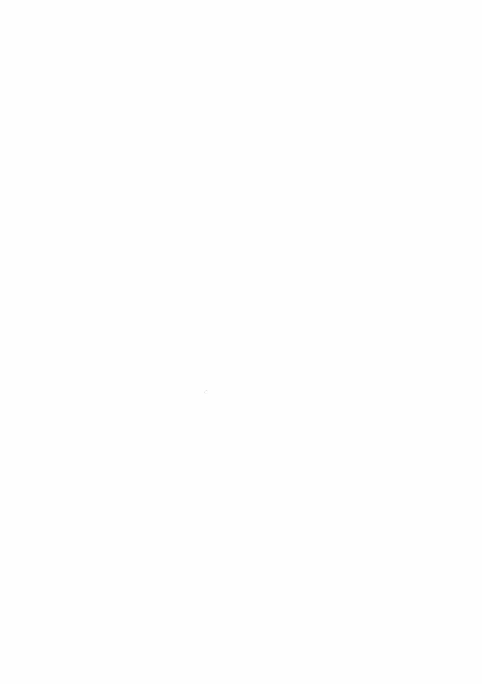$\label{eq:2.1} \frac{1}{\sqrt{2}}\left(\frac{1}{\sqrt{2}}\right)^{2} \left(\frac{1}{\sqrt{2}}\right)^{2} \left(\frac{1}{\sqrt{2}}\right)^{2} \left(\frac{1}{\sqrt{2}}\right)^{2} \left(\frac{1}{\sqrt{2}}\right)^{2} \left(\frac{1}{\sqrt{2}}\right)^{2} \left(\frac{1}{\sqrt{2}}\right)^{2} \left(\frac{1}{\sqrt{2}}\right)^{2} \left(\frac{1}{\sqrt{2}}\right)^{2} \left(\frac{1}{\sqrt{2}}\right)^{2} \left(\frac{1}{\sqrt{2}}\right)^{2} \left(\$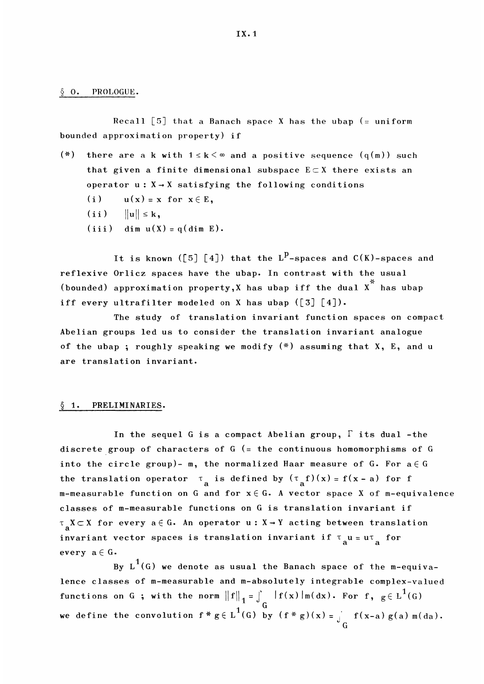IX.1

#### § 0. PROLOGUE.

Recall  $\lceil 5 \rceil$  that a Banach space X has the ubap (= uniform bounded approximation property) if

- (\*) there are a k with  $1 \le k \le \infty$  and a positive sequence  $(q(m))$  such that given a finite dimensional subspace  $E \subset X$  there exists an operator  $u: X \rightarrow X$  satisfying the following conditions (i)  $u(x) = x$  for  $x \in E$ ,
	- $(ii)$   $||u|| \leq k$ ,
	- (iii) dim  $u(X) = q(\text{dim } E)$ .

It is known ([5] [4]) that the  $L^p$ -spaces and  $C(K)$ -spaces and reflexive Orlicz spaces have the ubap. In contrast with the usual (bounded) approximation property, X has ubap iff the dual  $x^*$  has ubap iff every ultrafilter modeled on X has ubap  $(5] [4]$ .

The study of translation invariant function spaces on compact Abelian groups led us to consider the translation invariant analogue of the ubap ; roughly speaking we modify  $(*)$  assuming that X, E, and u are translation invariant.

#### § 1. PRELIMINARIES.

In the sequel G is a compact Abelian group,  $\Gamma$  its dual -the discrete group of characters of G (= the continuous homomorphisms of G into the circle group)- m, the normalized Haar measure of G. For  $a \in G$ the translation operator  $\tau_a$  is defined by  $(\tau_a f)(x) = f(x - a)$  for f m-measurable function on G and for  $x \in G$ . A vector space X of m-equivalence classes of m-measurable functions on G is translation invariant if  $\tau_{\alpha}X \subset X$  for every  $a \in G$ . An operator  $u : X \rightarrow Y$  acting between translation invariant vector spaces is translation invariant if  $\tau_a u = u\tau_a$  for every  $a \in G$ .

By  $L^1(G)$  we denote as usual the Banach space of the m-equivalence classes of m-measurable and m-absolutely integrable complex-valued functions on G; with the norm  $||f||_1 = \int_C |f(x)| \ln(dx)$ . For f,  $g \in L^1(G)$ we define the convolution  $f * g \in L^1(G)$  by  $(f * g)(x) = \int_G f(x-a) g(a) m(da)$ .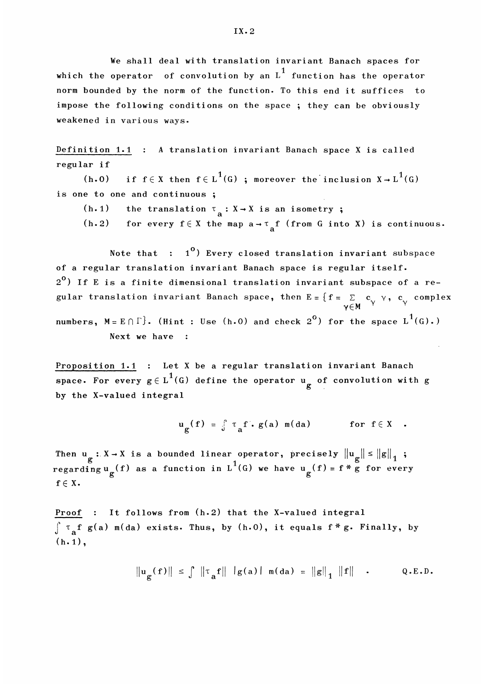We shall deal with translation invariant Banach spaces for which the operator of convolution by an  $L^1$  function has the operator norm bounded by the norm of the function. To this end it suffices to impose the following conditions on the space ; they can be obviously weakened in various ways.

Definition 1.1 : A translation invariant Banach space X is called regular if

(h.0) if  $f \in X$  then  $f \in L^1(G)$  ; moreover the inclusion  $X \rightarrow L^1(G)$ is one to one and continuous ;

- (h.1) the translation  $\tau_a : X \rightarrow X$  is an isometry;
- (h.2) for every  $f \in X$  the map  $a \to \tau_a f$  (from G into X) is continuous.

Note that :  $1^0$ ) Every closed translation invariant subspace of a regular translation invariant Banach space is regular itself.  $2<sup>0</sup>$ ) If E is a finite dimensional translation invariant subspace of a regular translation invariant Banach space, then  $E = \{ f = \sum_{\gamma \in M} c_{\gamma} \gamma, c_{\gamma} \text{ complex} \}$ numbers,  $M = E \cap \Gamma$ . (Hint : Use (h.0) and check 2<sup>0</sup>) for the space  $L^1(G)$ .) Next we have :

Proposition 1.1 : Let X be a regular translation invariant Banach space. For every  $g \in L^1(G)$  define the operator  $u$  of convolution with  $g$ by the X-valued integral

$$
\mathbf{u}_{\mathbf{g}}(\mathbf{f}) = \int \tau_{\mathbf{a}} \mathbf{f} \cdot \mathbf{g}(\mathbf{a}) \cdot \mathbf{m}(\mathbf{d}\mathbf{a}) \quad \text{for } \mathbf{f} \in \mathbf{X} \quad .
$$

Then  $u_g: X \to X$  is a bounded linear operator, precisely  $\|u_g\| \le \|g\|_1$ ; regarding  $u_g(f)$  as a function in  $L^1(G)$  we have  $u_g(f) = f * g$  for every  $f \in X$ .

Proof : It follows from (h.2) that the X-valued integral  $\int \tau_a f g(a) m(da)$  exists. Thus, by (h.O), it equals  $f * g$ . Finally, by  $(h.1)$ ,

$$
\left\|u_{\mathbf{g}}(f)\right\| \leq \int \left\|\tau_{\mathbf{a}}f\right\| \, |g(a)| \, \operatorname{m}(da) = \left\|g\right\|_{1} \, \left\|f\right\| \, . \qquad Q.E.D.
$$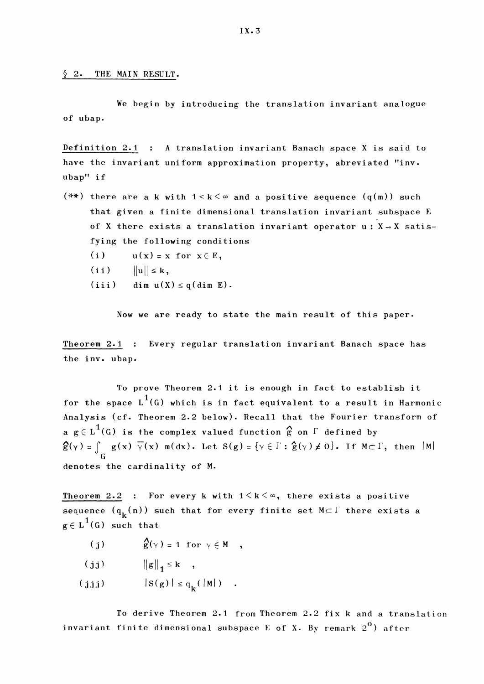We begin by introducing the translation invariant analogue of ubap.

Definition 2.1 : A translation invariant Banach space X is said to have the invariant uniform approximation property, abreviated "inv. ubap" if

- (\*\*) there are a k with  $1 \le k \le \infty$  and a positive sequence  $(q(m))$  such that given a finite dimensional translation invariant subspace E of X there exists a translation invariant operator  $u : X \rightarrow X$  satisfying the following conditions
	- $(i)$  $u(x) = x$  for  $x \in E$ ,
	- $(ii)$  $\|\mathbf{u}\| \leq \mathbf{k},$
	- dim  $u(X) \leq q(\text{dim } E)$ .  $(iii)$

Now we are ready to state the main result of this paper.

Theorem 2.1 : Every regular translation invariant Banach space has the inv. ubap.

To prove Theorem 2.1 it is enough in fact to establish it for the space  $L^1(G)$  which is in fact equivalent to a result in Harmonic Analysis (cf. Theorem 2.2 below). Recall that the Fourier transform of a  $g \in L^1(G)$  is the complex valued function  $\hat{g}$  on  $\Gamma$  defined by  $g(\gamma) = \int g(x) \overline{\gamma}(x) m(dx)$ . Let  $S(g) = {\gamma \in \Gamma : g(\gamma) \neq 0}$ . If  $M \subset \Gamma$ , then |M| G denotes the cardinality of M.

Theorem 2.2 : For every k with  $1 \le k \le \infty$ , there exists a positive sequence  $(q_k(n))$  such that for every finite set  $M\subset\Gamma$  there exists a  $g \in L^1(G)$  such that

- $\mathbf{g}(\gamma) = 1$  for  $\gamma \in M$ ,  $(i)$
- $\left\| \mathbf{g} \right\|_1 \leq \mathbf{k}$ ,  $(jj)$
- $|S(g)| \leq q_k (|M|)$ .  $(jjj)$

To derive Theorem 2.1 from Theorem 2.2 fix k and a translation invariant finite dimensional subspace E of X. By remark  $2^0$ ) after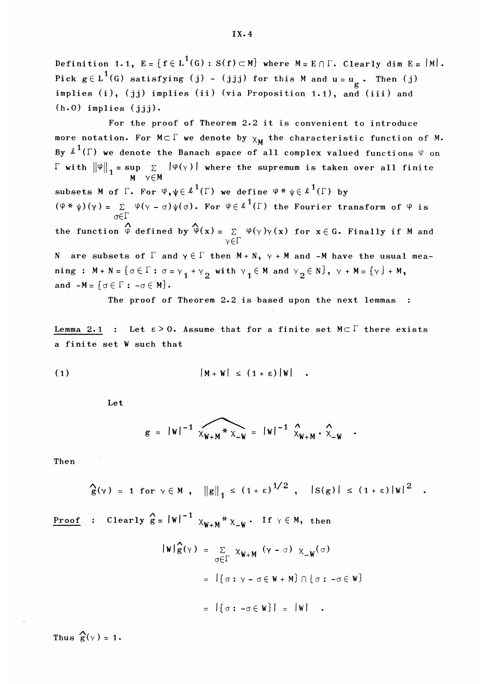Definition 1.1,  $E = \{ f \in L^1(G) : S(f) \subset M \}$  where  $M = E \cap \Gamma$ . Clearly dim  $E = |M|$ . Pick  $g \in L^1(G)$  satisfying (j) - (jjj) for this M and  $u = u_g$ . Then (j) implies (i), (jj) implies (ii) (via Proposition 1.1), and (iii) and (h.0) implies (jjj).

For the proof of Theorem 2.2 it is convenient to introduce more notation. For  $M\subset\Gamma$  we denote by  $\chi_M$  the characteristic function of M. By  $\ell^1(\Gamma)$  we denote the Banach space of all complex valued functions  $\varphi$  on  $\Gamma$  with  $\|\varphi\|_{1} = \sup_{M} \sum_{\gamma \in M} |\varphi(\gamma)|$  where the supremum is taken over all finite subsets M of  $\Gamma$ . For  $\varphi, \psi \in {\ell}^1(\Gamma)$  we define  $\varphi * \psi \in {\ell}^1(\Gamma)$  by  $(\varphi * \psi)(\gamma) = \sum_{\gamma} \varphi(\gamma - \sigma) \psi(\sigma)$ . For  $\varphi \in \ell^1(\Gamma)$  the Fourier transform of  $\varphi$  is  $\hat{\mathbf{v}}$ the function  $\varphi$  defined by  $\varphi(x) = \sum_{\alpha} \varphi(\gamma) \gamma(x)$  for  $x \in G$ . Finally if M and N are subsets of  $\Gamma$  and  $\gamma \in \Gamma$  then  $M + N$ ,  $\gamma + M$  and  $-M$  have the usual meaning :  $M + N = \{ \sigma \in \Gamma : \sigma = \gamma_1 + \gamma_2 \text{ with } \gamma_1 \in M \text{ and } \gamma_2 \in N \}, \gamma + M = \{ \gamma \} + M,$ and  $-M = \{\sigma \in \Gamma : -\sigma \in M\}.$ 

The proof of Theorem 2.2 is based upon the next lemmas :

Lemma 2.1 : Let  $\varepsilon > 0$ . Assume that for a finite set  $M \subset \Gamma$  there exists a finite set W such that

$$
|M+W| \leq (1+\varepsilon)|W|
$$

Let

$$
g = |w|^{-1} \sqrt{x_{w+M} * x_{-W}} = |w|^{-1} \sqrt{x_{w+M} \cdot x_{-W}}
$$

Then

$$
\hat{g}(\gamma) = 1 \text{ for } \gamma \in M, \|\mathbf{g}\|_1 \le (1+\epsilon)^{1/2}, \|\mathbf{S}(\mathbf{g})\| \le (1+\epsilon)|\mathbf{W}|^2
$$

Proof : Clearly  $\hat{g} = |W|^{-1} \chi_{W+M} * \chi_{-W}$ . If  $\gamma \in M$ , then

$$
|\mathbf{W}|_{\mathbf{g}}^{\alpha}(\gamma) = \sum_{\sigma \in \Gamma} \chi_{\mathbf{W} + \mathbf{M}} (\gamma - \sigma) \chi_{-\mathbf{W}}(\sigma)
$$

$$
= | \{\sigma : \gamma - \sigma \in \mathbf{W} + \mathbf{M}\} \cap \{\sigma : -\sigma \in \mathbf{W}\}
$$

$$
= | \{\sigma : -\sigma \in \mathbf{W}\} | = |\mathbf{W}|.
$$

Thus  $\hat{g}(y) = 1$ .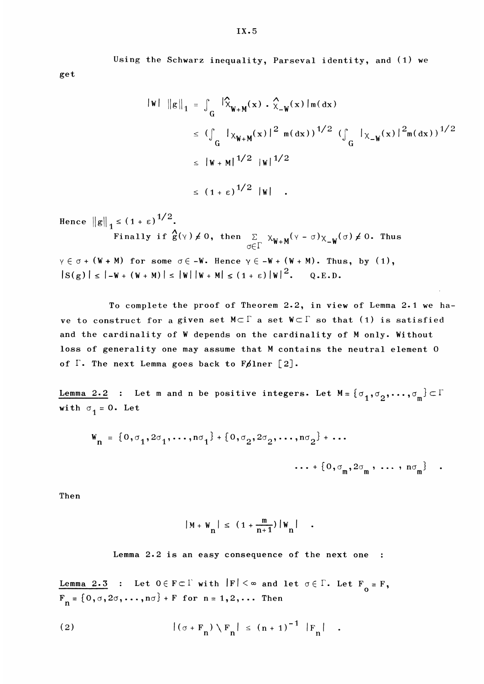Using the Schwarz inequality, Parseval identity, and (1) we

get

$$
|w| \|g\|_{1} = \int_{G} |\hat{\chi}_{w+M}(x) \cdot \hat{\chi}_{-W}(x)|_{m(dx)}
$$
  
\n
$$
\leq (\int_{G} |\chi_{w+M}(x)|^{2} m(dx))^{1/2} (\int_{G} |\chi_{-W}(x)|^{2} m(dx))^{1/2}
$$
  
\n
$$
\leq |w + M|^{1/2} |w|^{1/2}
$$
  
\n
$$
\leq (1 + \epsilon)^{1/2} |w| .
$$

Hence  $||g||_1 \le (1 + \varepsilon)^{1/2}$ .

Finally if  $g(\gamma) \neq 0$ , then  $\sum_{\substack{\sigma \in \Gamma}} x_{w+M} (\gamma - \sigma) \chi_{-W}(\sigma) \neq 0$ . Thus  $\gamma \in \sigma$  + (W + M) for some  $\sigma \in -W$ . Hence  $\gamma \in -W + (W + M)$ . Thus, by (1),  $|S(g)| \leq |-W + (W + M)| \leq |W| |W + M| \leq (1 + \epsilon) |W|^2$ . Q.E.D.

To complete the proof of Theorem 2.2, in view of Lemma 2.1 we have to construct for a given set  $M\subset\Gamma$  a set  $W\subset\Gamma$  so that (1) is satisfied and the cardinality of W depends on the cardinality of M only. Without loss of generality one may assume that M contains the neutral element 0 of  $\Gamma$ . The next Lemma goes back to Folner  $[2]$ .

**Lemma 2.2** : Let m and n be positive integers. Let  $M = \{\sigma_1, \sigma_2, \ldots, \sigma_m\} \subset \Gamma$ with  $\sigma_1 = 0$ . Let

$$
W_{n} = \{0, \sigma_{1}, 2\sigma_{1}, \dots, n\sigma_{1}\} + \{0, \sigma_{2}, 2\sigma_{2}, \dots, n\sigma_{2}\} + \dots
$$
  
 
$$
\dots + \{0, \sigma_{m}, 2\sigma_{m}, \dots, n\sigma_{m}\} .
$$

Then

$$
|M + W_n| \le (1 + \frac{m}{n+1}) |W_n|
$$

Lemma 2.2 is an easy consequence of the next one :

Lemma 2.3 : Let  $0 \in F \subset \Gamma$  with  $|F| < \infty$  and let  $\sigma \in \Gamma$ . Let  $F_{0} = F$ ,  $F_n = \{0, \sigma, 2\sigma, \dots, n\sigma\} + F$  for  $n = 1, 2, \dots$  Then

(2) 
$$
|(\sigma + F_n) \setminus F_n| \le (n + 1)^{-1} |F_n|
$$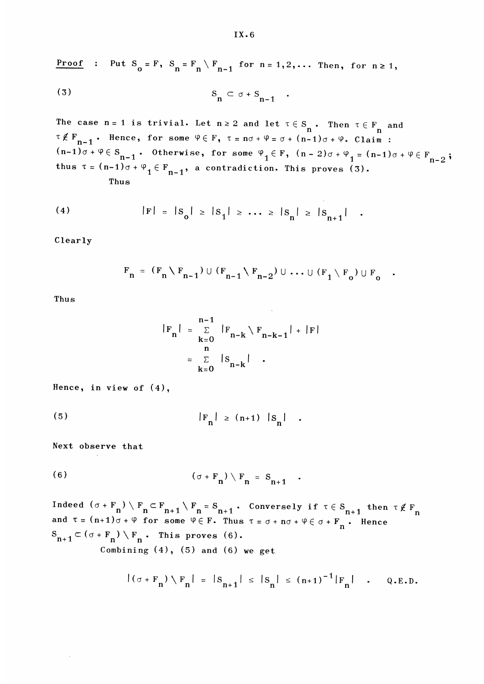$$
\mathrm{S}_{n} \subset \sigma + \mathrm{S}_{n-1}
$$

The case  $n = 1$  is trivial. Let  $n \ge 2$  and let  $\tau \in S_n$ . Then  $\tau \in F_n$  and  $\tau \notin F_{n-1}$ . Hence, for some  $\varphi \in F$ ,  $\tau = n\sigma + \varphi = \sigma + (n-1)\sigma + \varphi$ . Claim :  $(n-1)\sigma + \varphi \in S_{n-1}$ . Otherwise, for some  $\varphi_1 \in F$ ,  $(n-2)\sigma + \varphi_1 = (n-1)\sigma + \varphi \in F_{n-2}$ ; thus  $\tau = (n-1)\sigma + \varphi_1 \in F_{n-1}$ , a contradiction. This proves (3). Thus

(4) 
$$
|\mathbf{F}| = |\mathbf{S}_0| \ge |\mathbf{S}_1| \ge ... \ge |\mathbf{S}_n| \ge |\mathbf{S}_{n+1}|
$$

Clearly

$$
F_{n} = (F_{n} \setminus F_{n-1}) \cup (F_{n-1} \setminus F_{n-2}) \cup ... \cup (F_{1} \setminus F_{0}) \cup F_{0}
$$

Thus

$$
|\mathbf{F}_n| = \sum_{\substack{k=0 \ k=0}}^{n-1} |\mathbf{F}_{n-k} \setminus \mathbf{F}_{n-k-1}| + |\mathbf{F}|
$$
  
= 
$$
\sum_{k=0}^{n} |s_{n-k}|
$$

Hence, in view of (4),

$$
|\mathbf{F}_{n}| \geq (n+1) |\mathbf{S}_{n}|
$$

Next observe that

$$
(6) \qquad (\sigma + \mathbf{F}_n) \setminus \mathbf{F}_n = \mathbf{S}_{n+1}
$$

. Conversely 11  $\tau \in S_{n+1}$  then  $\tau \notin F_n$ and  $\tau = (n+1)\sigma + \phi$  for some  $\phi \in F$ . Thus  $\tau = \sigma + n\sigma + \phi \in \sigma + F_n$  . Hence  $S_{n+1} \subset (\sigma + F_n) \setminus F_n$ . This proves (6). Combining  $(4)$ ,  $(5)$  and  $(6)$  we get

$$
|( \sigma + F_n ) \setminus F_n | = |S_{n+1}| \le |S_n| \le (n+1)^{-1} |F_n|
$$
 . Q.E.D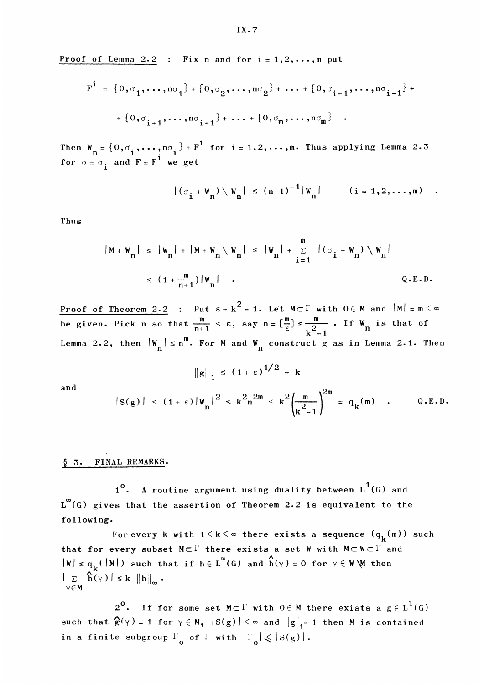Proof of Lemma 2.2 : Fix n and for  $i = 1, 2, \ldots, m$  put

$$
F^{i} = \{0, \sigma_{1}, \ldots, n\sigma_{1}\} + \{0, \sigma_{2}, \ldots, n\sigma_{2}\} + \ldots + \{0, \sigma_{i-1}, \ldots, n\sigma_{i-1}\} + \{0, \sigma_{i+1}, \ldots, n\sigma_{i+1}\} + \ldots + \{0, \sigma_{m}, \ldots, n\sigma_{m}\} .
$$

Then  $W_n = \{0, \sigma_i, \ldots, n\sigma_i\} + F^i$  for  $i = 1, 2, \ldots, m$ . Thus applying Lemma 2.3 for  $\sigma = \sigma_i$  and  $F = F^i$  we get

$$
|(\sigma_{i} + W_{n}) \setminus W_{n}| \leq (n+1)^{-1}|W_{n}| \qquad (i = 1, 2, ..., m) .
$$

Thus

$$
|M + W_{n}| \le |W_{n}| + |M + W_{n} \setminus W_{n}| \le |W_{n}| + \sum_{i=1}^{m} |(\sigma_{i} + W_{n}) \setminus W_{n}|
$$
  
\$\le (1 + \frac{m}{n+1}) |W\_{n}| . \t Q.E.D.

Proof of Theorem 2.2 : Put  $\varepsilon = k^2 - 1$ . Let  $M \subset \Gamma$  with  $0 \in M$  and  $|M| = m < \infty$ be given. Pick n so that  $\frac{m}{n+1} \le \varepsilon$ , say  $n = \left[\frac{m}{\varepsilon}\right] \le \frac{m}{k^2-1}$ . If  $W_n$  is that of Lemma 2.2, then  $|W_n| \le n^m$ . For M and W<sub>n</sub> construct g as in Lemma 2.1. Then

$$
||g||_1 \le (1+\epsilon)^{1/2} = k
$$

and

$$
S(g)| \leq (1+\epsilon)|W_n|^2 \leq k^2 n^{2m} \leq k^2 \left(\frac{m}{k^2-1}\right)^{2m} = q_k(m) \quad . \qquad Q.E.D.
$$

#### § 3. FINAL REMARKS.

 $\mathbf{I}$ 

 $1^{\circ}$ . A routine argument using duality between  $L^{1}(G)$  and  $L^{\infty}(G)$  gives that the assertion of Theorem 2.2 is equivalent to the following.

For every k with  $1 \le k \le \infty$  there exists a sequence  $(q_k(m))$  such that for every subset  $M\subset\mathbb{I}'$  there exists a set W with  $M\subset W\subset\overline{\mathbb{I}}$  and  $|W| \le q_{\mathbf{k}}(\mathbf{M})$  such that if  $h \in L^{\infty}(G)$  and  $\hat{h}(\gamma) = 0$  for  $\gamma \in W \backslash M$  then  $|\sum_{\gamma \in M} \hat{h}(\gamma)| \leq k ||h||_{\infty}.$ 

 $2^0$ . If for some set  $M\subset\Gamma$  with  $0\in M$  there exists a  $g\in L^1(G)$ such that  $\hat{g}(\gamma) = 1$  for  $\gamma \in M$ ,  $|S(g)| < \infty$  and  $||g||_{1} = 1$  then M is contained in a finite subgroup  $\Gamma_0$  of  $\Gamma$  with  $\left|\Gamma_0\right| \leqslant |S(g)|$ .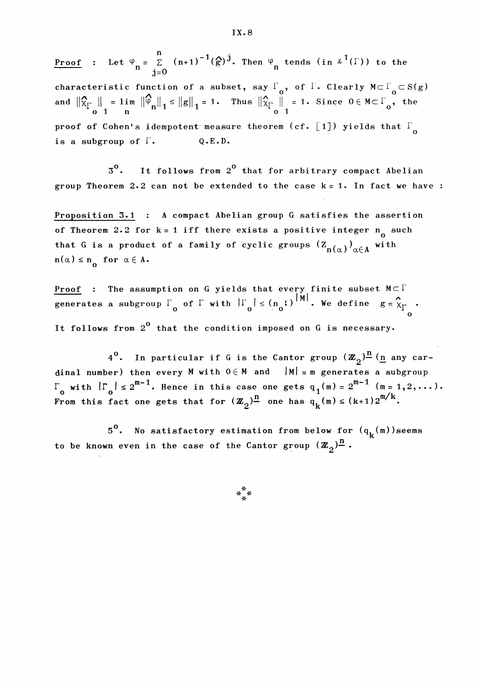<u>Proof</u> : Let  $\varphi_n = \sum_{i=0}^n (n+1)^{-1} (\hat{g})^i$ . Then  $\varphi_n$  tends (in  $\ell^1(\Gamma)$ ) to the characteristic function of a subset, say  $\Gamma_0$ , of  $\Gamma$ . Clearly  $M \subset \Gamma_0 \subset S(g)$ <br>and  $\|\hat{X}_{\Gamma_0}\| = \lim_{n \to \infty} \|\hat{\phi}_n\|_1 \leq \|g\|_1 = 1$ . Thus  $\|\hat{X}_{\Gamma_0}\| = 1$ . Since  $0 \in M \subset \Gamma_0$ , the proof of Cohen's idempotent measure theorem (cf. [1]) yields that  $\Gamma$ is a subgroup of  $\Gamma$ .  $Q.E.D.$ 

 $3<sup>0</sup>$ . It follows from  $2<sup>0</sup>$  that for arbitrary compact Abelian group Theorem 2.2 can not be extended to the case  $k = 1$ . In fact we have :

Proposition  $3.1$  : A compact Abelian group G satisfies the assertion of Theorem 2.2 for k=1 iff there exists a positive integer  $n_{0}$  such that G is a product of a family of cyclic groups  $(Z_{n(\alpha)})_{\alpha \in A}$  with  $n(\alpha) \leq n_0$  for  $\alpha \in A$ .

Proof : The assumption on G yields that every finite subset  $M\subset \Gamma$ generates a subgroup  $\Gamma_0$  of  $\Gamma$  with  $|\Gamma_0| \leq (n_0!)^{|M|}$ . We define  $g = \hat{\chi}_{\Gamma}$ . o It follows from  $2^0$  that the condition imposed on G is necessary.

 $4^{\circ}$ . In particular if G is the Cantor group  $(\mathbf{Z}_{2})^{\mathbf{n}}$  (n any cardinal number) then every M with  $0 \in M$  and  $|M| = m$  generates a subgroup  $\begin{aligned} \Gamma_{_{\mathbf{O}}} \text{ with } \begin{bmatrix} \Gamma_{_{\mathbf{O}}} \end{bmatrix} &\leq 2^{\mathfrak{m}-1} \text{. Hence in this case one gets } \mathfrak{q}_1(\mathfrak{m}) = 2^{\mathfrak{m}-1} \text{ (}\mathfrak{m} = 1,2,\dots\text{).} \end{aligned}$ From this fact one gets that for  $({\bf Z}_2)^{\underline{\mu}}$  one has  ${\bf q}_{\bf k}({\sf m})\leq ({\sf k}+1)2^{{\sf m}}$  .

5<sup>0</sup>. No satisfactory estimation from below for  $(q_k(m))$ seems to be known even in the case of the Cantor group  $(\mathbf{Z}_{2})^{\mathbf{n}}$ .

 $*$  $*$  $*$